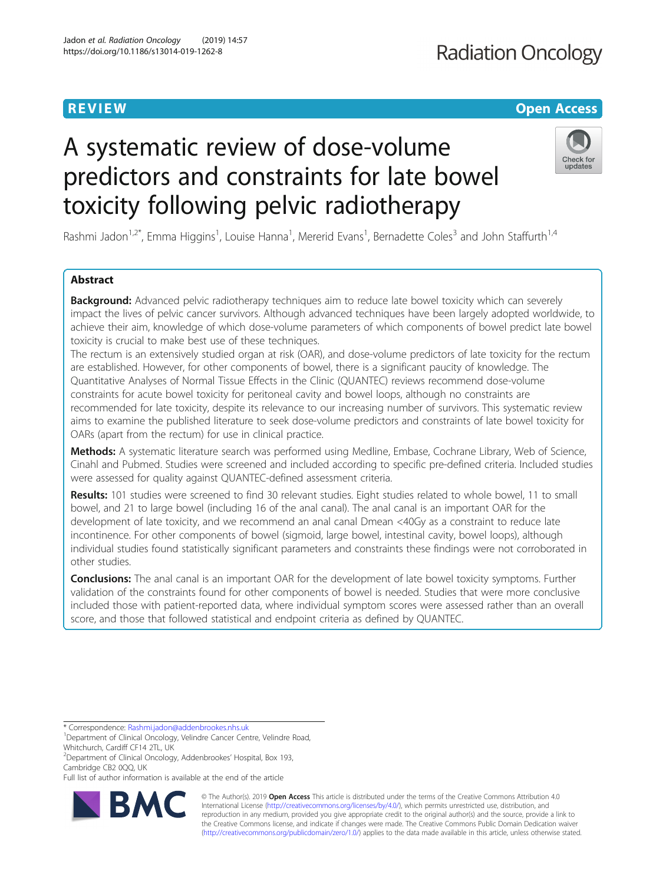## **Radiation Oncology**

### **REVIEW CONTROL** CONTROL CONTROL CONTROL CONTROL CONTROL CONTROL CONTROL CONTROL CONTROL CONTROL CONTROL CONTROL

# A systematic review of dose-volume predictors and constraints for late bowel toxicity following pelvic radiotherapy



Rashmi Jadon<sup>1,2\*</sup>, Emma Higgins<sup>1</sup>, Louise Hanna<sup>1</sup>, Mererid Evans<sup>1</sup>, Bernadette Coles<sup>3</sup> and John Staffurth<sup>1,4</sup>

### Abstract

**Background:** Advanced pelvic radiotherapy techniques aim to reduce late bowel toxicity which can severely impact the lives of pelvic cancer survivors. Although advanced techniques have been largely adopted worldwide, to achieve their aim, knowledge of which dose-volume parameters of which components of bowel predict late bowel toxicity is crucial to make best use of these techniques.

The rectum is an extensively studied organ at risk (OAR), and dose-volume predictors of late toxicity for the rectum are established. However, for other components of bowel, there is a significant paucity of knowledge. The Quantitative Analyses of Normal Tissue Effects in the Clinic (QUANTEC) reviews recommend dose-volume constraints for acute bowel toxicity for peritoneal cavity and bowel loops, although no constraints are recommended for late toxicity, despite its relevance to our increasing number of survivors. This systematic review aims to examine the published literature to seek dose-volume predictors and constraints of late bowel toxicity for OARs (apart from the rectum) for use in clinical practice.

Methods: A systematic literature search was performed using Medline, Embase, Cochrane Library, Web of Science, Cinahl and Pubmed. Studies were screened and included according to specific pre-defined criteria. Included studies were assessed for quality against QUANTEC-defined assessment criteria.

Results: 101 studies were screened to find 30 relevant studies. Eight studies related to whole bowel, 11 to small bowel, and 21 to large bowel (including 16 of the anal canal). The anal canal is an important OAR for the development of late toxicity, and we recommend an anal canal Dmean <40Gy as a constraint to reduce late incontinence. For other components of bowel (sigmoid, large bowel, intestinal cavity, bowel loops), although individual studies found statistically significant parameters and constraints these findings were not corroborated in other studies.

**Conclusions:** The anal canal is an important OAR for the development of late bowel toxicity symptoms. Further validation of the constraints found for other components of bowel is needed. Studies that were more conclusive included those with patient-reported data, where individual symptom scores were assessed rather than an overall score, and those that followed statistical and endpoint criteria as defined by QUANTEC.

\* Correspondence: [Rashmi.jadon@addenbrookes.nhs.uk](mailto:Rashmi.jadon@addenbrookes.nhs.uk) <sup>1</sup>

<sup>1</sup>Department of Clinical Oncology, Velindre Cancer Centre, Velindre Road, Whitchurch, Cardiff CF14 2TL, UK

<sup>2</sup>Department of Clinical Oncology, Addenbrookes' Hospital, Box 193, Cambridge CB2 0QQ, UK

Full list of author information is available at the end of the article



© The Author(s). 2019 **Open Access** This article is distributed under the terms of the Creative Commons Attribution 4.0 International License [\(http://creativecommons.org/licenses/by/4.0/](http://creativecommons.org/licenses/by/4.0/)), which permits unrestricted use, distribution, and reproduction in any medium, provided you give appropriate credit to the original author(s) and the source, provide a link to the Creative Commons license, and indicate if changes were made. The Creative Commons Public Domain Dedication waiver [\(http://creativecommons.org/publicdomain/zero/1.0/](http://creativecommons.org/publicdomain/zero/1.0/)) applies to the data made available in this article, unless otherwise stated.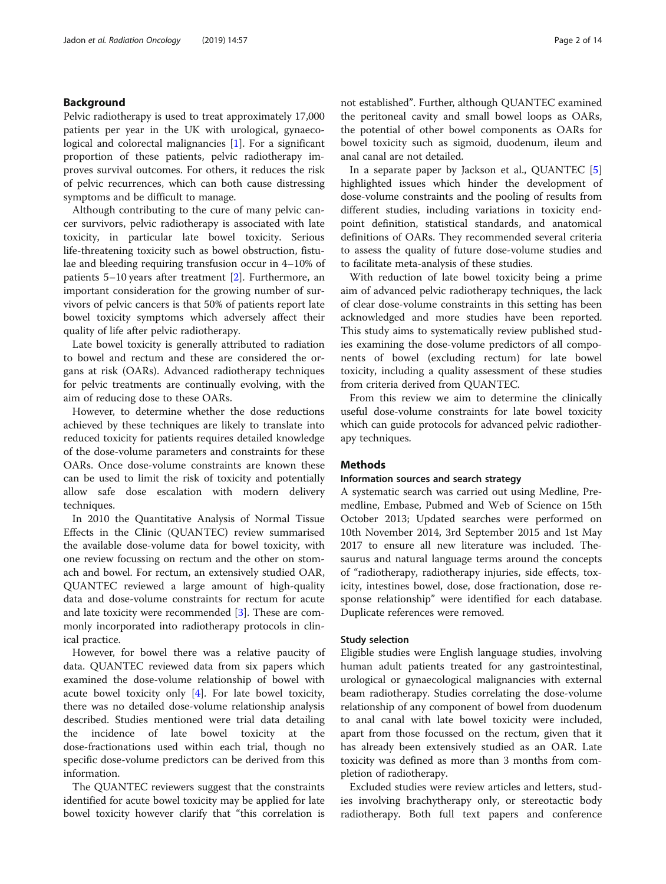### Background

Pelvic radiotherapy is used to treat approximately 17,000 patients per year in the UK with urological, gynaecological and colorectal malignancies [[1\]](#page-12-0). For a significant proportion of these patients, pelvic radiotherapy improves survival outcomes. For others, it reduces the risk of pelvic recurrences, which can both cause distressing symptoms and be difficult to manage.

Although contributing to the cure of many pelvic cancer survivors, pelvic radiotherapy is associated with late toxicity, in particular late bowel toxicity. Serious life-threatening toxicity such as bowel obstruction, fistulae and bleeding requiring transfusion occur in 4–10% of patients 5–10 years after treatment [[2\]](#page-12-0). Furthermore, an important consideration for the growing number of survivors of pelvic cancers is that 50% of patients report late bowel toxicity symptoms which adversely affect their quality of life after pelvic radiotherapy.

Late bowel toxicity is generally attributed to radiation to bowel and rectum and these are considered the organs at risk (OARs). Advanced radiotherapy techniques for pelvic treatments are continually evolving, with the aim of reducing dose to these OARs.

However, to determine whether the dose reductions achieved by these techniques are likely to translate into reduced toxicity for patients requires detailed knowledge of the dose-volume parameters and constraints for these OARs. Once dose-volume constraints are known these can be used to limit the risk of toxicity and potentially allow safe dose escalation with modern delivery techniques.

In 2010 the Quantitative Analysis of Normal Tissue Effects in the Clinic (QUANTEC) review summarised the available dose-volume data for bowel toxicity, with one review focussing on rectum and the other on stomach and bowel. For rectum, an extensively studied OAR, QUANTEC reviewed a large amount of high-quality data and dose-volume constraints for rectum for acute and late toxicity were recommended [[3\]](#page-12-0). These are commonly incorporated into radiotherapy protocols in clinical practice.

However, for bowel there was a relative paucity of data. QUANTEC reviewed data from six papers which examined the dose-volume relationship of bowel with acute bowel toxicity only [\[4](#page-12-0)]. For late bowel toxicity, there was no detailed dose-volume relationship analysis described. Studies mentioned were trial data detailing the incidence of late bowel toxicity at the dose-fractionations used within each trial, though no specific dose-volume predictors can be derived from this information.

The QUANTEC reviewers suggest that the constraints identified for acute bowel toxicity may be applied for late bowel toxicity however clarify that "this correlation is not established". Further, although QUANTEC examined the peritoneal cavity and small bowel loops as OARs, the potential of other bowel components as OARs for bowel toxicity such as sigmoid, duodenum, ileum and anal canal are not detailed.

In a separate paper by Jackson et al., QUANTEC [\[5](#page-12-0)] highlighted issues which hinder the development of dose-volume constraints and the pooling of results from different studies, including variations in toxicity endpoint definition, statistical standards, and anatomical definitions of OARs. They recommended several criteria to assess the quality of future dose-volume studies and to facilitate meta-analysis of these studies.

With reduction of late bowel toxicity being a prime aim of advanced pelvic radiotherapy techniques, the lack of clear dose-volume constraints in this setting has been acknowledged and more studies have been reported. This study aims to systematically review published studies examining the dose-volume predictors of all components of bowel (excluding rectum) for late bowel toxicity, including a quality assessment of these studies from criteria derived from QUANTEC.

From this review we aim to determine the clinically useful dose-volume constraints for late bowel toxicity which can guide protocols for advanced pelvic radiotherapy techniques.

### Methods

### Information sources and search strategy

A systematic search was carried out using Medline, Premedline, Embase, Pubmed and Web of Science on 15th October 2013; Updated searches were performed on 10th November 2014, 3rd September 2015 and 1st May 2017 to ensure all new literature was included. Thesaurus and natural language terms around the concepts of "radiotherapy, radiotherapy injuries, side effects, toxicity, intestines bowel, dose, dose fractionation, dose response relationship" were identified for each database. Duplicate references were removed.

### Study selection

Eligible studies were English language studies, involving human adult patients treated for any gastrointestinal, urological or gynaecological malignancies with external beam radiotherapy. Studies correlating the dose-volume relationship of any component of bowel from duodenum to anal canal with late bowel toxicity were included, apart from those focussed on the rectum, given that it has already been extensively studied as an OAR. Late toxicity was defined as more than 3 months from completion of radiotherapy.

Excluded studies were review articles and letters, studies involving brachytherapy only, or stereotactic body radiotherapy. Both full text papers and conference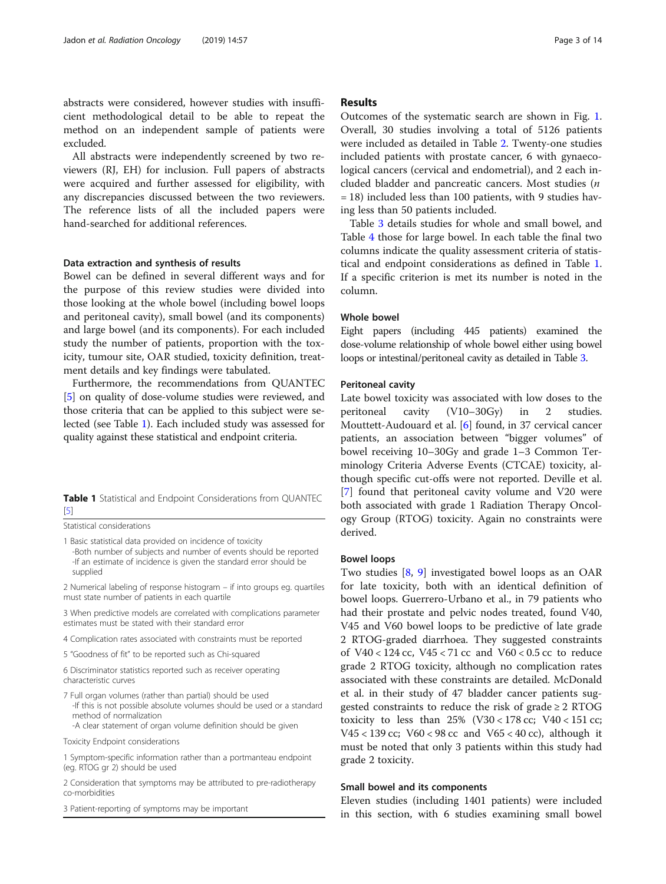abstracts were considered, however studies with insufficient methodological detail to be able to repeat the method on an independent sample of patients were excluded.

All abstracts were independently screened by two reviewers (RJ, EH) for inclusion. Full papers of abstracts were acquired and further assessed for eligibility, with any discrepancies discussed between the two reviewers. The reference lists of all the included papers were hand-searched for additional references.

### Data extraction and synthesis of results

Bowel can be defined in several different ways and for the purpose of this review studies were divided into those looking at the whole bowel (including bowel loops and peritoneal cavity), small bowel (and its components) and large bowel (and its components). For each included study the number of patients, proportion with the toxicity, tumour site, OAR studied, toxicity definition, treatment details and key findings were tabulated.

Furthermore, the recommendations from QUANTEC [[5\]](#page-12-0) on quality of dose-volume studies were reviewed, and those criteria that can be applied to this subject were selected (see Table 1). Each included study was assessed for quality against these statistical and endpoint criteria.

Table 1 Statistical and Endpoint Considerations from QUANTEC [\[5](#page-12-0)]

Statistical considerations

1 Basic statistical data provided on incidence of toxicity

-Both number of subjects and number of events should be reported -If an estimate of incidence is given the standard error should be supplied

2 Numerical labeling of response histogram – if into groups eg. quartiles must state number of patients in each quartile

3 When predictive models are correlated with complications parameter estimates must be stated with their standard error

4 Complication rates associated with constraints must be reported

5 "Goodness of fit" to be reported such as Chi-squared

6 Discriminator statistics reported such as receiver operating characteristic curves

7 Full organ volumes (rather than partial) should be used -If this is not possible absolute volumes should be used or a standard

method of normalization -A clear statement of organ volume definition should be given

Toxicity Endpoint considerations

1 Symptom-specific information rather than a portmanteau endpoint (eg. RTOG gr 2) should be used

2 Consideration that symptoms may be attributed to pre-radiotherapy co-morbidities

3 Patient-reporting of symptoms may be important

### Results

Outcomes of the systematic search are shown in Fig. [1](#page-3-0). Overall, 30 studies involving a total of 5126 patients were included as detailed in Table [2.](#page-4-0) Twenty-one studies included patients with prostate cancer, 6 with gynaecological cancers (cervical and endometrial), and 2 each included bladder and pancreatic cancers. Most studies (n = 18) included less than 100 patients, with 9 studies having less than 50 patients included.

Table [3](#page-6-0) details studies for whole and small bowel, and Table [4](#page-8-0) those for large bowel. In each table the final two columns indicate the quality assessment criteria of statistical and endpoint considerations as defined in Table 1. If a specific criterion is met its number is noted in the column.

### Whole bowel

Eight papers (including 445 patients) examined the dose-volume relationship of whole bowel either using bowel loops or intestinal/peritoneal cavity as detailed in Table [3.](#page-6-0)

### Peritoneal cavity

Late bowel toxicity was associated with low doses to the peritoneal cavity (V10–30Gy) in 2 studies. Mouttett-Audouard et al. [\[6](#page-12-0)] found, in 37 cervical cancer patients, an association between "bigger volumes" of bowel receiving 10–30Gy and grade 1–3 Common Terminology Criteria Adverse Events (CTCAE) toxicity, although specific cut-offs were not reported. Deville et al. [[7\]](#page-12-0) found that peritoneal cavity volume and V20 were both associated with grade 1 Radiation Therapy Oncology Group (RTOG) toxicity. Again no constraints were derived.

### Bowel loops

Two studies [[8,](#page-12-0) [9\]](#page-12-0) investigated bowel loops as an OAR for late toxicity, both with an identical definition of bowel loops. Guerrero-Urbano et al., in 79 patients who had their prostate and pelvic nodes treated, found V40, V45 and V60 bowel loops to be predictive of late grade 2 RTOG-graded diarrhoea. They suggested constraints of V40 < 124 cc, V45 < 71 cc and V60 < 0.5 cc to reduce grade 2 RTOG toxicity, although no complication rates associated with these constraints are detailed. McDonald et al. in their study of 47 bladder cancer patients suggested constraints to reduce the risk of grade  $\geq 2$  RTOG toxicity to less than  $25\%$  (V30 < 178 cc; V40 < 151 cc; V45 < 139 cc; V60 < 98 cc and V65 < 40 cc), although it must be noted that only 3 patients within this study had grade 2 toxicity.

### Small bowel and its components

Eleven studies (including 1401 patients) were included in this section, with 6 studies examining small bowel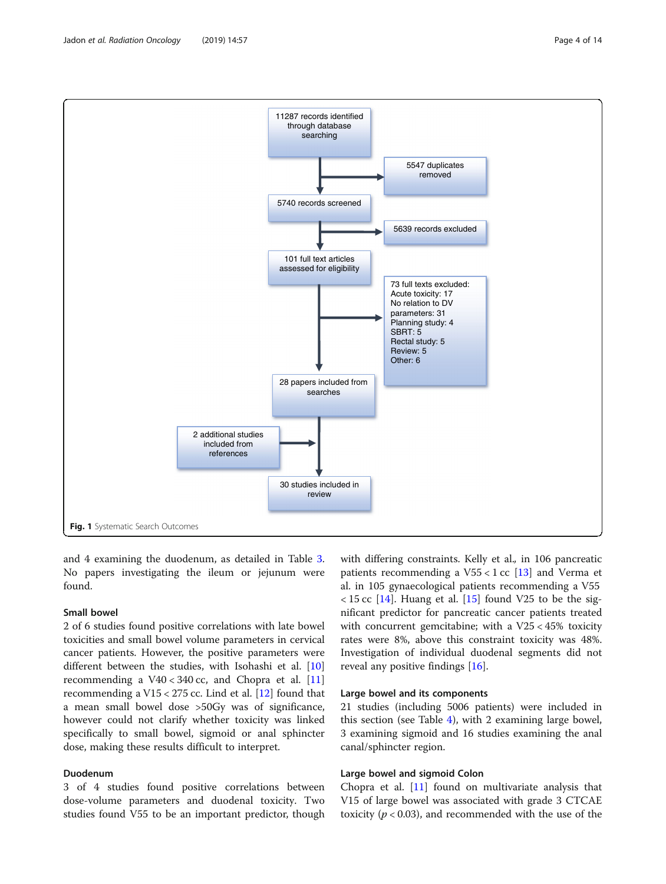and 4 examining the duodenum, as detailed in Table [3](#page-6-0). No papers investigating the ileum or jejunum were found.

### Small bowel

2 of 6 studies found positive correlations with late bowel toxicities and small bowel volume parameters in cervical cancer patients. However, the positive parameters were different between the studies, with Isohashi et al. [[10](#page-12-0)] recommending a  $V40 < 340$  cc, and Chopra et al. [[11](#page-12-0)] recommending a V15 < 275 cc. Lind et al. [[12\]](#page-12-0) found that a mean small bowel dose >50Gy was of significance, however could not clarify whether toxicity was linked specifically to small bowel, sigmoid or anal sphincter dose, making these results difficult to interpret.

### Duodenum

3 of 4 studies found positive correlations between dose-volume parameters and duodenal toxicity. Two studies found V55 to be an important predictor, though

with differing constraints. Kelly et al., in 106 pancreatic patients recommending a  $V55 < 1$  cc [\[13](#page-12-0)] and Verma et al. in 105 gynaecological patients recommending a V55  $<$  15 cc [\[14](#page-12-0)]. Huang et al. [\[15\]](#page-12-0) found V25 to be the significant predictor for pancreatic cancer patients treated with concurrent gemcitabine; with a V25 < 45% toxicity rates were 8%, above this constraint toxicity was 48%. Investigation of individual duodenal segments did not reveal any positive findings [[16\]](#page-12-0).

### Large bowel and its components

21 studies (including 5006 patients) were included in this section (see Table [4\)](#page-8-0), with 2 examining large bowel, 3 examining sigmoid and 16 studies examining the anal canal/sphincter region.

### Large bowel and sigmoid Colon

Chopra et al. [[11\]](#page-12-0) found on multivariate analysis that V15 of large bowel was associated with grade 3 CTCAE toxicity ( $p < 0.03$ ), and recommended with the use of the

<span id="page-3-0"></span>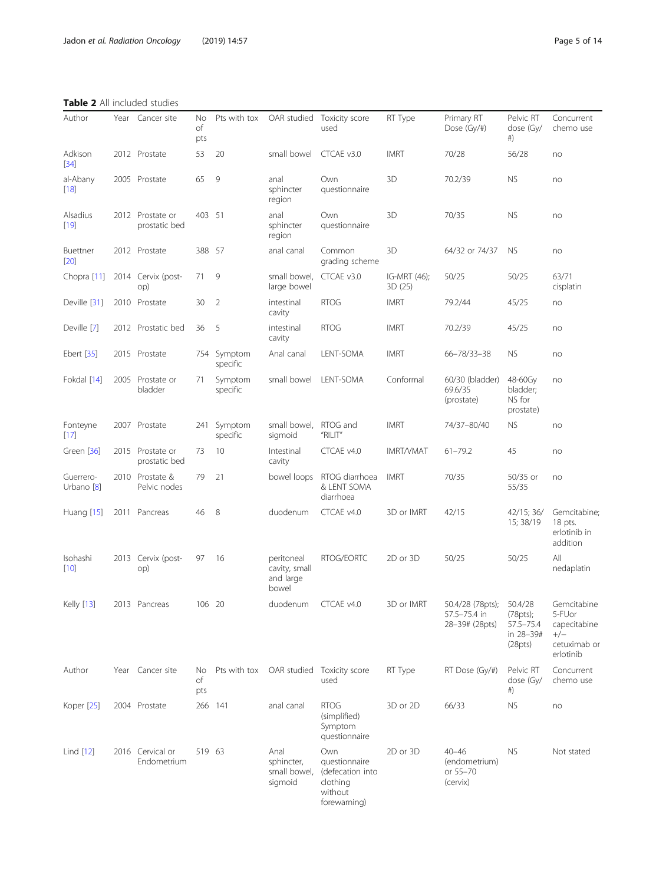<span id="page-4-0"></span>Table 2 All included studies

| Author                  | Year Cancer site                  | No<br>of<br>pts  | Pts with tox        | OAR studied                                       | Toxicity score<br>used                                                          | RT Type                | Primary RT<br>Dose (Gy/#)                          | Pelvic RT<br>dose (Gy/<br>#                              | Concurrent<br>chemo use                                                     |
|-------------------------|-----------------------------------|------------------|---------------------|---------------------------------------------------|---------------------------------------------------------------------------------|------------------------|----------------------------------------------------|----------------------------------------------------------|-----------------------------------------------------------------------------|
| Adkison<br>$[34]$       | 2012 Prostate                     | 53               | 20                  | small bowel                                       | CTCAE v3.0                                                                      | <b>IMRT</b>            | 70/28                                              | 56/28                                                    | no                                                                          |
| al-Abany<br>$[18]$      | 2005 Prostate                     | 65               | 9                   | anal<br>sphincter<br>region                       | Own<br>questionnaire                                                            | 3D                     | 70.2/39                                            | <b>NS</b>                                                | no                                                                          |
| Alsadius<br>$[19]$      | 2012 Prostate or<br>prostatic bed | 403 51           |                     | anal<br>sphincter<br>region                       | Own<br>questionnaire                                                            | 3D                     | 70/35                                              | <b>NS</b>                                                | no                                                                          |
| Buettner<br>$[20]$      | 2012 Prostate                     | 388 57           |                     | anal canal                                        | Common<br>grading scheme                                                        | 3D                     | 64/32 or 74/37                                     | <b>NS</b>                                                | no                                                                          |
| Chopra [11]             | 2014 Cervix (post-<br>op)         | 71               | 9                   | small bowel,<br>large bowel                       | CTCAE v3.0                                                                      | IG-MRT (46);<br>3D(25) | 50/25                                              | 50/25                                                    | 63/71<br>cisplatin                                                          |
| Deville [31]            | 2010 Prostate                     | 30               | 2                   | intestinal<br>cavity                              | <b>RTOG</b>                                                                     | <b>IMRT</b>            | 79.2/44                                            | 45/25                                                    | no                                                                          |
| Deville [7]             | 2012 Prostatic bed                | 36               | 5                   | intestinal<br>cavity                              | <b>RTOG</b>                                                                     | <b>IMRT</b>            | 70.2/39                                            | 45/25                                                    | no                                                                          |
| Ebert [35]              | 2015 Prostate                     | 754              | Symptom<br>specific | Anal canal                                        | LENT-SOMA                                                                       | <b>IMRT</b>            | 66-78/33-38                                        | <b>NS</b>                                                | no                                                                          |
| Fokdal [14]             | 2005 Prostate or<br>bladder       | 71               | Symptom<br>specific | small bowel                                       | LENT-SOMA                                                                       | Conformal              | 60/30 (bladder)<br>69.6/35<br>(prostate)           | 48-60Gy<br>bladder;<br>NS for<br>prostate)               | no                                                                          |
| Fonteyne<br>$[17]$      | 2007 Prostate                     | 241              | Symptom<br>specific | small bowel,<br>sigmoid                           | RTOG and<br>"RILIT"                                                             | <b>IMRT</b>            | 74/37-80/40                                        | <b>NS</b>                                                | no                                                                          |
| Green [36]              | 2015 Prostate or<br>prostatic bed | 73               | 10                  | Intestinal<br>cavity                              | CTCAE v4.0                                                                      | IMRT/VMAT              | $61 - 79.2$                                        | 45                                                       | no                                                                          |
| Guerrero-<br>Urbano [8] | 2010 Prostate &<br>Pelvic nodes   | 79               | 21                  | bowel loops                                       | RTOG diarrhoea<br>& LENT SOMA<br>diarrhoea                                      | <b>IMRT</b>            | 70/35                                              | 50/35 or<br>55/35                                        | no                                                                          |
| Huang $[15]$            | 2011 Pancreas                     | 46               | 8                   | duodenum                                          | CTCAE v4.0                                                                      | 3D or IMRT             | 42/15                                              | 42/15; 36/<br>15; 38/19                                  | Gemcitabine;<br>18 pts.<br>erlotinib in<br>addition                         |
| Isohashi<br>[10]        | 2013 Cervix (post-<br>op)         | 97               | 16                  | peritoneal<br>cavity, small<br>and large<br>bowel | RTOG/EORTC                                                                      | 2D or 3D               | 50/25                                              | 50/25                                                    | All<br>nedaplatin                                                           |
| <b>Kelly</b> [13]       | 2013 Pancreas                     | 106 20           |                     | duodenum                                          | CTCAE v4.0                                                                      | 3D or IMRT             | 50.4/28 (78pts);<br>57.5-75.4 in<br>28-39# (28pts) | 50.4/28<br>(78pts);<br>57.5-75.4<br>in 28-39#<br>(28pts) | Gemcitabine<br>5-FUor<br>capecitabine<br>$+/-$<br>cetuximab or<br>erlotinib |
| Author                  | Year Cancer site                  | No.<br>of<br>pts | Pts with tox        |                                                   | OAR studied Toxicity score<br>used                                              | RT Type                | RT Dose (Gy/#)                                     | Pelvic RT<br>dose (Gy/<br>#)                             | Concurrent<br>chemo use                                                     |
| Koper [25]              | 2004 Prostate                     |                  | 266 141             | anal canal                                        | <b>RTOG</b><br>(simplified)<br>Symptom<br>questionnaire                         | 3D or 2D               | 66/33                                              | <b>NS</b>                                                | no                                                                          |
| Lind [12]               | 2016 Cervical or<br>Endometrium   | 519 63           |                     | Anal<br>sphincter,<br>small bowel,<br>sigmoid     | Own<br>questionnaire<br>(defecation into<br>clothing<br>without<br>forewarning) | 2D or 3D               | $40 - 46$<br>(endometrium)<br>or 55-70<br>(cervix) | NS.                                                      | Not stated                                                                  |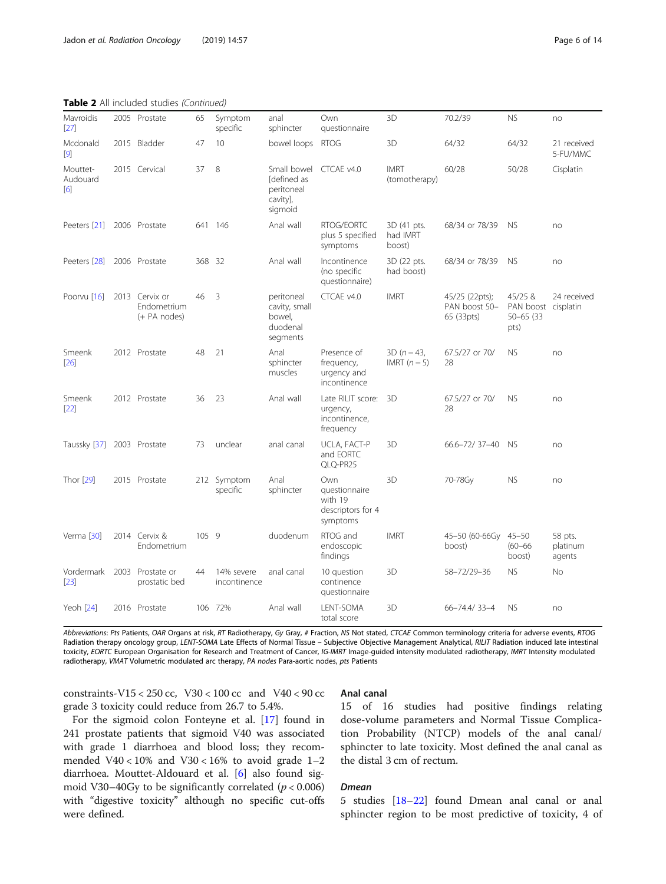Table 2 All included studies (Continued)

| Mavroidis<br>[27]           | 2005 Prostate                                 | 65     | Symptom<br>specific        | anal<br>sphincter                                                      | Own<br>questionnaire                                             | 3D                                | 70.2/39                                       | <b>NS</b>                                     | no                            |
|-----------------------------|-----------------------------------------------|--------|----------------------------|------------------------------------------------------------------------|------------------------------------------------------------------|-----------------------------------|-----------------------------------------------|-----------------------------------------------|-------------------------------|
| Mcdonald<br>$[9]$           | 2015 Bladder                                  | 47     | 10                         | bowel loops                                                            | <b>RTOG</b>                                                      | 3D                                | 64/32                                         | 64/32                                         | 21 received<br>5-FU/MMC       |
| Mouttet-<br>Audouard<br>[6] | 2015 Cervical                                 | 37     | 8                          | Small bowel<br><b>Idefined</b> as<br>peritoneal<br>cavity],<br>sigmoid | CTCAE v4.0                                                       | <b>IMRT</b><br>(tomotherapy)      | 60/28                                         | 50/28                                         | Cisplatin                     |
| Peeters [21]                | 2006 Prostate                                 | 641    | - 146                      | Anal wall                                                              | RTOG/EORTC<br>plus 5 specified<br>symptoms                       | 3D (41 pts.<br>had IMRT<br>boost) | 68/34 or 78/39                                | <b>NS</b>                                     | no                            |
| Peeters [28]                | 2006 Prostate                                 | 368 32 |                            | Anal wall                                                              | Incontinence<br>(no specific<br>questionnaire)                   | 3D (22 pts.<br>had boost)         | 68/34 or 78/39                                | <b>NS</b>                                     | no                            |
| Poorvu [16]                 | 2013 Cervix or<br>Endometrium<br>(+ PA nodes) | 46     | 3                          | peritoneal<br>cavity, small<br>bowel,<br>duodenal<br>segments          | CTCAE v4.0                                                       | <b>IMRT</b>                       | 45/25 (22pts);<br>PAN boost 50-<br>65 (33pts) | 45/25 &<br>PAN boost<br>$50 - 65$ (33<br>pts) | 24 received<br>cisplatin      |
| Smeenk<br>[26]              | 2012 Prostate                                 | 48     | 21                         | Anal<br>sphincter<br>muscles                                           | Presence of<br>frequency,<br>urgency and<br>incontinence         | $3D(n=43,$<br>IMRT $(n=5)$        | 67.5/27 or 70/<br>28                          | <b>NS</b>                                     | no                            |
| Smeenk<br>$[22]$            | 2012 Prostate                                 | 36     | 23                         | Anal wall                                                              | Late RILIT score:<br>urgency,<br>incontinence,<br>frequency      | 3D                                | 67.5/27 or 70/<br>28                          | <b>NS</b>                                     | no                            |
| Taussky [37]                | 2003 Prostate                                 | 73     | unclear                    | anal canal                                                             | UCLA, FACT-P<br>and EORTC<br>QLQ-PR25                            | 3D                                | 66.6-72/37-40                                 | <b>NS</b>                                     | no                            |
| Thor [29]                   | 2015 Prostate                                 | 212    | Symptom<br>specific        | Anal<br>sphincter                                                      | Own<br>questionnaire<br>with 19<br>descriptors for 4<br>symptoms | 3D                                | 70-78Gy                                       | <b>NS</b>                                     | no                            |
| Verma [30]                  | 2014 Cervix &<br>Endometrium                  | 105 9  |                            | duodenum                                                               | RTOG and<br>endoscopic<br>findings                               | <b>IMRT</b>                       | 45-50 (60-66Gy<br>boost)                      | $45 - 50$<br>$(60 - 66)$<br>boost)            | 58 pts.<br>platinum<br>agents |
| Vordermark<br>$[23]$        | 2003 Prostate or<br>prostatic bed             | 44     | 14% severe<br>incontinence | anal canal                                                             | 10 question<br>continence<br>questionnaire                       | 3D                                | 58-72/29-36                                   | <b>NS</b>                                     | <b>No</b>                     |
| Yeoh [24]                   | 2016 Prostate                                 | 106    | 72%                        | Anal wall                                                              | LENT-SOMA<br>total score                                         | 3D                                | 66-74.4/33-4                                  | <b>NS</b>                                     | no                            |

Abbreviations: Pts Patients, OAR Organs at risk, RT Radiotherapy, Gy Gray, # Fraction, NS Not stated, CTCAE Common terminology criteria for adverse events, RTOG Radiation therapy oncology group, LENT-SOMA Late Effects of Normal Tissue - Subjective Objective Management Analytical, RILIT Radiation induced late intestinal toxicity, EORTC European Organisation for Research and Treatment of Cancer, IG-IMRT Image-guided intensity modulated radiotherapy, IMRT Intensity modulated radiotherapy, VMAT Volumetric modulated arc therapy, PA nodes Para-aortic nodes, pts Patients

constraints-V15 < 250 cc, V30 < 100 cc and V40 < 90 cc grade 3 toxicity could reduce from 26.7 to 5.4%.

with grade 1 diarrhoea and blood loss; they recom-

diarrhoea. Mouttet-Aldouard et al. [[6\]](#page-12-0) also found sigmoid V30–40Gy to be significantly correlated ( $p < 0.006$ ) with "digestive toxicity" although no specific cut-offs

were defined.

### Anal canal

For the sigmoid colon Fonteyne et al. [\[17](#page-12-0)] found in 241 prostate patients that sigmoid V40 was associated mended V40 < 10% and V30 < 16% to avoid grade 1–2 15 of 16 studies had positive findings relating dose-volume parameters and Normal Tissue Complication Probability (NTCP) models of the anal canal/ sphincter to late toxicity. Most defined the anal canal as the distal 3 cm of rectum.

### Dmean

5 studies [[18](#page-12-0)–[22\]](#page-13-0) found Dmean anal canal or anal sphincter region to be most predictive of toxicity, 4 of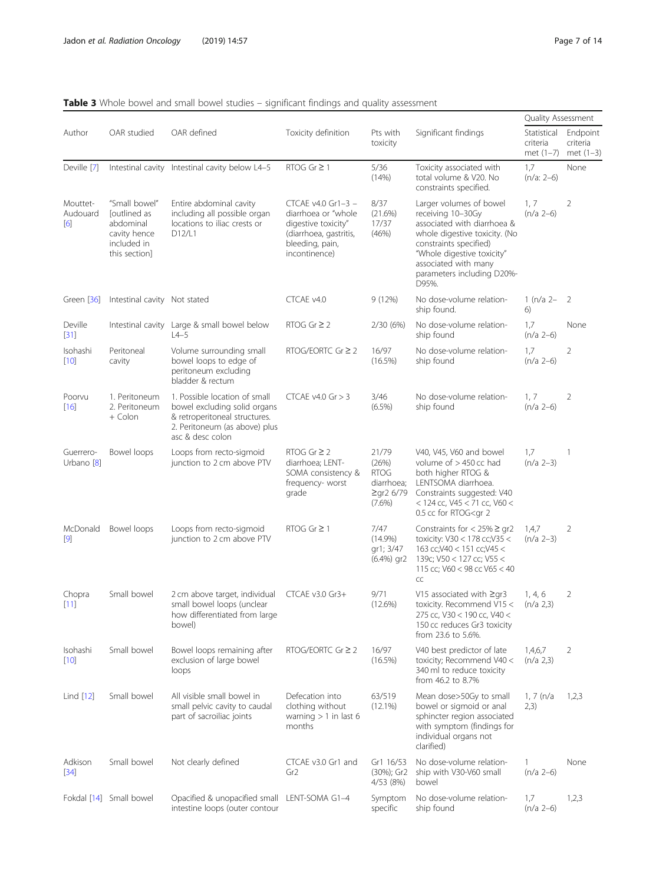### <span id="page-6-0"></span>Table 3 Whole bowel and small bowel studies – significant findings and quality assessment

|                             |                                                                                            |                                                                                                                                                     |                                                                                                                                  |                                                                       |                                                                                                                                                                                                                                                                | Quality Assessment                       |                                     |
|-----------------------------|--------------------------------------------------------------------------------------------|-----------------------------------------------------------------------------------------------------------------------------------------------------|----------------------------------------------------------------------------------------------------------------------------------|-----------------------------------------------------------------------|----------------------------------------------------------------------------------------------------------------------------------------------------------------------------------------------------------------------------------------------------------------|------------------------------------------|-------------------------------------|
| Author                      | OAR studied                                                                                | OAR defined                                                                                                                                         | Toxicity definition                                                                                                              | Pts with<br>toxicity                                                  | Significant findings                                                                                                                                                                                                                                           | Statistical<br>criteria<br>met $(1 - 7)$ | Endpoint<br>criteria<br>met $(1-3)$ |
| Deville [7]                 |                                                                                            | Intestinal cavity Intestinal cavity below L4-5                                                                                                      | RTOG Gr $\geq$ 1                                                                                                                 | 5/36<br>(14%)                                                         | Toxicity associated with<br>total volume & V20. No<br>constraints specified.                                                                                                                                                                                   | 1,7<br>$(n/a: 2-6)$                      | None                                |
| Mouttet-<br>Audouard<br>[6] | "Small bowel"<br>foutlined as<br>abdominal<br>cavity hence<br>included in<br>this section] | Entire abdominal cavity<br>including all possible organ<br>locations to iliac crests or<br>D12/L1                                                   | $CTCAE v4.0 Gr1-3 -$<br>diarrhoea or "whole<br>digestive toxicity"<br>(diarrhoea, gastritis,<br>bleeding, pain,<br>incontinence) | 8/37<br>(21.6%)<br>17/37<br>(46%)                                     | Larger volumes of bowel<br>receiving 10-30Gy<br>associated with diarrhoea &<br>whole digestive toxicity. (No<br>constraints specified)<br>"Whole digestive toxicity"<br>associated with many<br>parameters including D20%-<br>D95%.                            | 1, 7<br>$(n/a 2-6)$                      | 2                                   |
| Green [36]                  | Intestinal cavity Not stated                                                               |                                                                                                                                                     | CTCAE v4.0                                                                                                                       | 9(12%)                                                                | No dose-volume relation-<br>ship found.                                                                                                                                                                                                                        | 1 (n/a 2–<br>6)                          | 2                                   |
| Deville<br>$[31]$           |                                                                                            | Intestinal cavity Large & small bowel below<br>$L4-5$                                                                                               | RTOG Gr $\geq$ 2                                                                                                                 | 2/30 (6%)                                                             | No dose-volume relation-<br>ship found                                                                                                                                                                                                                         | 1,7<br>$(n/a 2-6)$                       | None                                |
| Isohashi<br>$[10]$          | Peritoneal<br>cavity                                                                       | Volume surrounding small<br>bowel loops to edge of<br>peritoneum excluding<br>bladder & rectum                                                      | RTOG/EORTC Gr $\geq$ 2                                                                                                           | 16/97<br>(16.5%)                                                      | No dose-volume relation-<br>ship found                                                                                                                                                                                                                         | 1,7<br>$(n/a 2-6)$                       | $\overline{2}$                      |
| Poorvu<br>$[16]$            | 1. Peritoneum<br>2. Peritoneum<br>+ Colon                                                  | 1. Possible location of small<br>bowel excluding solid organs<br>& retroperitoneal structures.<br>2. Peritoneum (as above) plus<br>asc & desc colon | CTCAE $v4.0$ Gr $> 3$                                                                                                            | 3/46<br>$(6.5\%)$                                                     | No dose-volume relation-<br>ship found                                                                                                                                                                                                                         | 1, 7<br>$(n/a 2-6)$                      | $\overline{2}$                      |
| Guerrero-<br>Urbano [8]     | Bowel loops                                                                                | Loops from recto-sigmoid<br>junction to 2 cm above PTV                                                                                              | RTOG Gr $\geq$ 2<br>diarrhoea; LENT-<br>SOMA consistency &<br>frequency- worst<br>grade                                          | 21/79<br>(26%)<br><b>RTOG</b><br>diarrhoea;<br>≥gr2 6/79<br>$(7.6\%)$ | V40, V45, V60 and bowel<br>volume of $> 450$ cc had<br>both higher RTOG &<br>LENTSOMA diarrhoea.<br>Constraints suggested: V40<br>$<$ 124 cc, V45 $<$ 71 cc, V60 $<$<br>0.5 cc for RTOG <gr 2<="" td=""><td>1,7<br/><math>(n/a 2-3)</math></td><td>1</td></gr> | 1,7<br>$(n/a 2-3)$                       | 1                                   |
| McDonald<br>$[9]$           | Bowel loops                                                                                | Loops from recto-sigmoid<br>junction to 2 cm above PTV                                                                                              | RTOG Gr $\geq$ 1                                                                                                                 | 7/47<br>$(14.9\%)$<br>gr1; 3/47<br>$(6.4%)$ gr2                       | Constraints for $<$ 25% $\geq$ gr2<br>toxicity: $V30 < 178$ cc; V35 <<br>163 cc; V40 < 151 cc; V45 <<br>139c; V50 < 127 cc; V55 <<br>115 cc; V60 < 98 cc V65 < 40<br>CC                                                                                        | 1,4,7<br>$(n/a 2-3)$                     | $\overline{2}$                      |
| Chopra<br>[11]              | Small bowel                                                                                | 2 cm above target, individual<br>small bowel loops (unclear<br>how differentiated from large<br>bowel)                                              | CTCAE v3.0 Gr3+                                                                                                                  | 9/71<br>$(12.6\%)$                                                    | V15 associated with $\geq$ gr3<br>toxicity. Recommend V15 <<br>275 cc, V30 < 190 cc, V40 <<br>150 cc reduces Gr3 toxicity<br>from 23.6 to 5.6%.                                                                                                                | 1, 4, 6<br>(n/a 2,3)                     | 2                                   |
| Isohashi<br>$[10]$          | Small bowel                                                                                | Bowel loops remaining after<br>exclusion of large bowel<br>loops                                                                                    | RTOG/EORTC Gr $\geq$ 2                                                                                                           | 16/97<br>$(16.5\%)$                                                   | V40 best predictor of late<br>toxicity; Recommend V40 <<br>340 ml to reduce toxicity<br>from 46.2 to 8.7%                                                                                                                                                      | 1,4,6,7<br>(n/a 2,3)                     | $\overline{2}$                      |
| Lind $[12]$                 | Small bowel                                                                                | All visible small bowel in<br>small pelvic cavity to caudal<br>part of sacroiliac joints                                                            | Defecation into<br>clothing without<br>warning $> 1$ in last 6<br>months                                                         | 63/519<br>$(12.1\%)$                                                  | Mean dose>50Gy to small<br>bowel or sigmoid or anal<br>sphincter region associated<br>with symptom (findings for<br>individual organs not<br>clarified)                                                                                                        | 1, 7 (n/a<br>2,3)                        | 1,2,3                               |
| Adkison<br>$[34]$           | Small bowel                                                                                | Not clearly defined                                                                                                                                 | CTCAE v3.0 Gr1 and<br>Gr2                                                                                                        | Gr1 16/53<br>(30%); Gr2<br>4/53 (8%)                                  | No dose-volume relation-<br>ship with V30-V60 small<br>bowel                                                                                                                                                                                                   | 1<br>$(n/a 2-6)$                         | None                                |
|                             | Fokdal [14] Small bowel                                                                    | Opacified & unopacified small<br>intestine loops (outer contour                                                                                     | LENT-SOMA G1-4                                                                                                                   | Symptom<br>specific                                                   | No dose-volume relation-<br>ship found                                                                                                                                                                                                                         | 1,7<br>$(n/a 2-6)$                       | 1,2,3                               |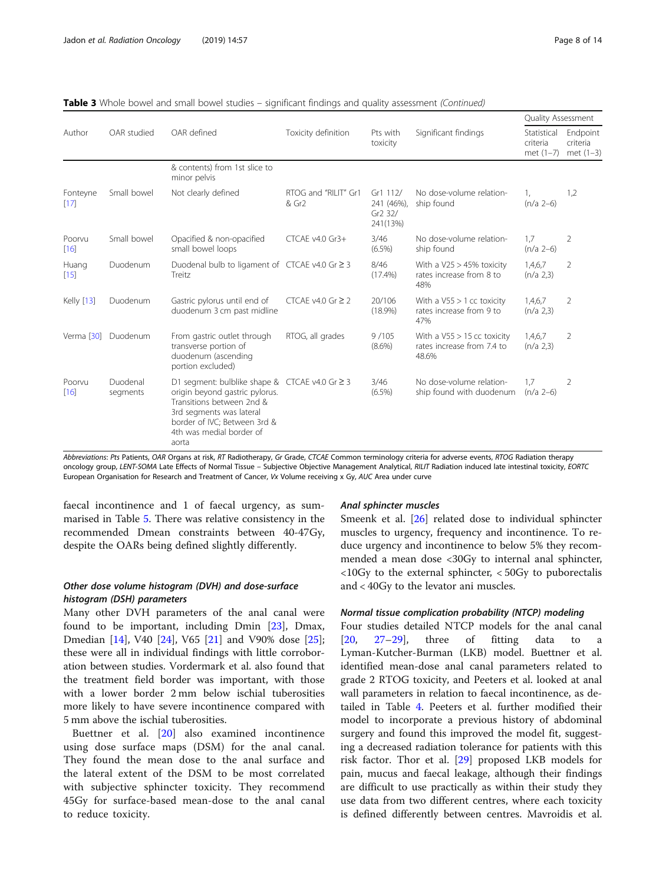|                  |                      |                                                                                                                                                                                              |                                             |                                               |                                                                      | Quality Assessment                       |                                     |
|------------------|----------------------|----------------------------------------------------------------------------------------------------------------------------------------------------------------------------------------------|---------------------------------------------|-----------------------------------------------|----------------------------------------------------------------------|------------------------------------------|-------------------------------------|
| Author           | OAR studied          | OAR defined                                                                                                                                                                                  | Toxicity definition                         | Pts with<br>toxicity                          | Significant findings                                                 | Statistical<br>criteria<br>met $(1 - 7)$ | Endpoint<br>criteria<br>met $(1-3)$ |
|                  |                      | & contents) from 1st slice to<br>minor pelvis                                                                                                                                                |                                             |                                               |                                                                      |                                          |                                     |
| Fonteyne<br>[17] | Small bowel          | Not clearly defined                                                                                                                                                                          | RTOG and "RILIT" Gr1<br>$&$ Gr <sub>2</sub> | Gr1 112/<br>241 (46%),<br>Gr2 32/<br>241(13%) | No dose-volume relation-<br>ship found                               | 1,<br>$(n/a 2-6)$                        | 1,2                                 |
| Poorvu<br>[16]   | Small bowel          | Opacified & non-opacified<br>small bowel loops                                                                                                                                               | $CTCAE v4.0 Gr3+$                           | 3/46<br>$(6.5\%)$                             | No dose-volume relation-<br>ship found                               | 1,7<br>$(n/a 2-6)$                       | 2                                   |
| Huang<br>$[15]$  | Duodenum             | Duodenal bulb to ligament of CTCAE v4.0 Gr $\geq$ 3<br>Treitz                                                                                                                                |                                             | 8/46<br>$(17.4\%)$                            | With a $V25 > 45\%$ toxicity<br>rates increase from 8 to<br>48%      | 1,4,6,7<br>(n/a 2,3)                     | 2                                   |
| Kelly [13]       | Duodenum             | Gastric pylorus until end of<br>duodenum 3 cm past midline                                                                                                                                   | CTCAE v4.0 Gr $\geq$ 2                      | 20/106<br>$(18.9\%)$                          | With a $V55 > 1$ cc toxicity<br>rates increase from 9 to<br>47%      | 1,4,6,7<br>(n/a 2,3)                     | 2                                   |
| Verma [30]       | Duodenum             | From gastric outlet through<br>transverse portion of<br>duodenum (ascending<br>portion excluded)                                                                                             | RTOG, all grades                            | 9/105<br>$(8.6\%)$                            | With a $V55 > 15$ cc toxicity<br>rates increase from 7.4 to<br>48.6% | 1,4,6,7<br>(n/a 2.3)                     | 2                                   |
| Poorvu<br>[16]   | Duodenal<br>segments | D1 segment: bulblike shape &<br>origin beyond gastric pylorus.<br>Transitions between 2nd &<br>3rd segments was lateral<br>border of IVC; Between 3rd &<br>4th was medial border of<br>aorta | CTCAE v4.0 Gr $\geq$ 3                      | 3/46<br>$(6.5\%)$                             | No dose-volume relation-<br>ship found with duodenum                 | 1,7<br>$(n/a 2-6)$                       | 2                                   |

| Table 3 Whole bowel and small bowel studies - significant findings and quality assessment (Continued) |
|-------------------------------------------------------------------------------------------------------|
|-------------------------------------------------------------------------------------------------------|

Abbreviations: Pts Patients, OAR Organs at risk, RT Radiotherapy, Gr Grade, CTCAE Common terminology criteria for adverse events, RTOG Radiation therapy oncology group, LENT-SOMA Late Effects of Normal Tissue – Subjective Objective Management Analytical, RILIT Radiation induced late intestinal toxicity, EORTC European Organisation for Research and Treatment of Cancer, Vx Volume receiving x Gy, AUC Area under curve

faecal incontinence and 1 of faecal urgency, as summarised in Table [5](#page-10-0). There was relative consistency in the recommended Dmean constraints between 40-47Gy, despite the OARs being defined slightly differently.

### Other dose volume histogram (DVH) and dose-surface histogram (DSH) parameters

Many other DVH parameters of the anal canal were found to be important, including Dmin [\[23](#page-13-0)], Dmax, Dmedian [\[14](#page-12-0)], V40 [[24](#page-13-0)], V65 [\[21\]](#page-12-0) and V90% dose [\[25](#page-13-0)]; these were all in individual findings with little corroboration between studies. Vordermark et al. also found that the treatment field border was important, with those with a lower border 2 mm below ischial tuberosities more likely to have severe incontinence compared with 5 mm above the ischial tuberosities.

Buettner et al. [\[20](#page-12-0)] also examined incontinence using dose surface maps (DSM) for the anal canal. They found the mean dose to the anal surface and the lateral extent of the DSM to be most correlated with subjective sphincter toxicity. They recommend 45Gy for surface-based mean-dose to the anal canal to reduce toxicity.

### Anal sphincter muscles

Smeenk et al. [\[26](#page-13-0)] related dose to individual sphincter muscles to urgency, frequency and incontinence. To reduce urgency and incontinence to below 5% they recommended a mean dose <30Gy to internal anal sphincter, <10Gy to the external sphincter, < 50Gy to puborectalis and < 40Gy to the levator ani muscles.

### Normal tissue complication probability (NTCP) modeling

Four studies detailed NTCP models for the anal canal  $[20, 27-29]$  $[20, 27-29]$  $[20, 27-29]$  $[20, 27-29]$  $[20, 27-29]$  $[20, 27-29]$  $[20, 27-29]$ , three of fitting data to a Lyman-Kutcher-Burman (LKB) model. Buettner et al. identified mean-dose anal canal parameters related to grade 2 RTOG toxicity, and Peeters et al. looked at anal wall parameters in relation to faecal incontinence, as detailed in Table [4.](#page-8-0) Peeters et al. further modified their model to incorporate a previous history of abdominal surgery and found this improved the model fit, suggesting a decreased radiation tolerance for patients with this risk factor. Thor et al. [[29\]](#page-13-0) proposed LKB models for pain, mucus and faecal leakage, although their findings are difficult to use practically as within their study they use data from two different centres, where each toxicity is defined differently between centres. Mavroidis et al.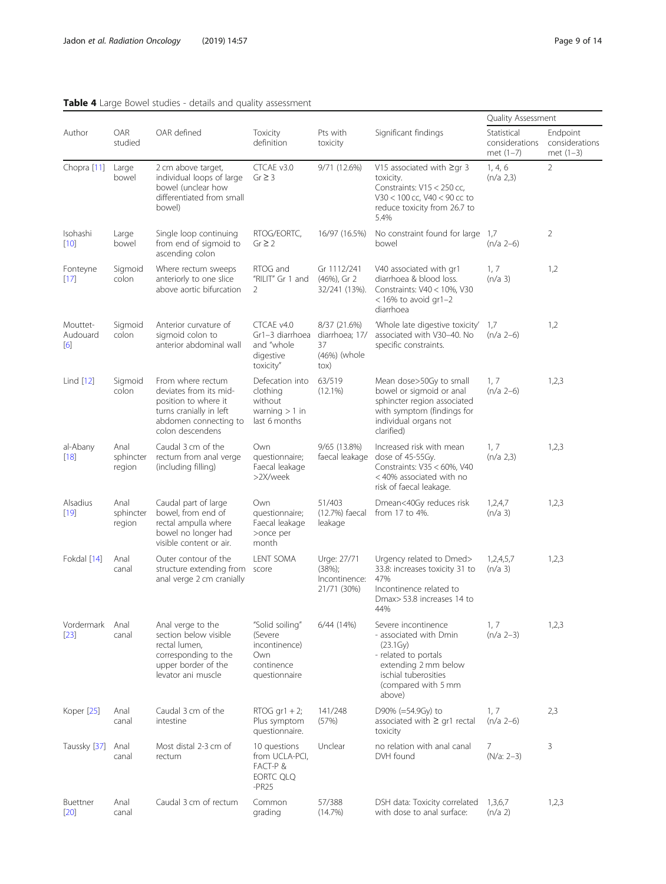## <span id="page-8-0"></span>Table 4 Large Bowel studies - details and quality assessment

|                             |                             |                                                                                                                                             |                                                                                   |                                                              |                                                                                                                                                                    | Quality Assessment                             |                                           |
|-----------------------------|-----------------------------|---------------------------------------------------------------------------------------------------------------------------------------------|-----------------------------------------------------------------------------------|--------------------------------------------------------------|--------------------------------------------------------------------------------------------------------------------------------------------------------------------|------------------------------------------------|-------------------------------------------|
| Author                      | OAR<br>studied              | OAR defined                                                                                                                                 | Toxicity<br>definition                                                            | Pts with<br>toxicity                                         | Significant findings                                                                                                                                               | Statistical<br>considerations<br>met $(1 - 7)$ | Endpoint<br>considerations<br>met $(1-3)$ |
| Chopra [11]                 | Large<br>bowel              | 2 cm above target,<br>individual loops of large<br>bowel (unclear how<br>differentiated from small<br>bowel)                                | CTCAE v3.0<br>$Gr \geq 3$                                                         | 9/71 (12.6%)                                                 | V15 associated with $\geq$ gr 3<br>toxicity.<br>Constraints: V15 < 250 cc,<br>$V30 < 100$ cc, $V40 < 90$ cc to<br>reduce toxicity from 26.7 to<br>5.4%             | 1, 4, 6<br>(n/a 2,3)                           | $\overline{2}$                            |
| Isohashi<br>$[10]$          | Large<br>bowel              | Single loop continuing<br>from end of sigmoid to<br>ascending colon                                                                         | RTOG/EORTC,<br>Gr $\geq$ 2                                                        | 16/97 (16.5%)                                                | No constraint found for large 1,7<br>bowel                                                                                                                         | $(n/a 2-6)$                                    | 2                                         |
| Fonteyne<br>[17]            | Sigmoid<br>colon            | Where rectum sweeps<br>anteriorly to one slice<br>above aortic bifurcation                                                                  | RTOG and<br>"RILIT" Gr 1 and<br>2                                                 | Gr 1112/241<br>(46%), Gr 2<br>32/241 (13%).                  | V40 associated with gr1<br>diarrhoea & blood loss.<br>Constraints: V40 < 10%, V30<br>$<$ 16% to avoid gr1-2<br>diarrhoea                                           | 1, 7<br>(n/a 3)                                | 1,2                                       |
| Mouttet-<br>Audouard<br>[6] | Sigmoid<br>colon            | Anterior curvature of<br>sigmoid colon to<br>anterior abdominal wall                                                                        | CTCAE v4.0<br>Gr1-3 diarrhoea<br>and "whole<br>digestive<br>toxicity"             | 8/37 (21.6%)<br>diarrhoea; 17/<br>37<br>(46%) (whole<br>tox) | 'Whole late digestive toxicity'<br>associated with V30-40. No<br>specific constraints.                                                                             | 1,7<br>$(n/a 2-6)$                             | 1,2                                       |
| Lind [12]                   | Sigmoid<br>colon            | From where rectum<br>deviates from its mid-<br>position to where it<br>turns cranially in left<br>abdomen connecting to<br>colon descendens | Defecation into<br>clothing<br>without<br>warning $> 1$ in<br>last 6 months       | 63/519<br>$(12.1\%)$                                         | Mean dose>50Gy to small<br>bowel or sigmoid or anal<br>sphincter region associated<br>with symptom (findings for<br>individual organs not<br>clarified)            | 1, 7<br>$(n/a 2-6)$                            | 1,2,3                                     |
| al-Abany<br>$[18]$          | Anal<br>sphincter<br>region | Caudal 3 cm of the<br>rectum from anal verge<br>(including filling)                                                                         | Own<br>questionnaire;<br>Faecal leakage<br>>2X/week                               | 9/65 (13.8%)<br>faecal leakage                               | Increased risk with mean<br>dose of 45-55Gy.<br>Constraints: V35 < 60%, V40<br><40% associated with no<br>risk of faecal leakage.                                  | 1, 7<br>(n/a 2,3)                              | 1,2,3                                     |
| Alsadius<br>$[19]$          | Anal<br>sphincter<br>region | Caudal part of large<br>bowel, from end of<br>rectal ampulla where<br>bowel no longer had<br>visible content or air.                        | Own<br>questionnaire;<br>Faecal leakage<br>>once per<br>month                     | 51/403<br>(12.7%) faecal<br>leakage                          | Dmean<40Gy reduces risk<br>from 17 to 4%.                                                                                                                          | 1,2,4,7<br>(n/a 3)                             | 1,2,3                                     |
| Fokdal [14]                 | Anal<br>canal               | Outer contour of the<br>structure extending from<br>anal verge 2 cm cranially                                                               | <b>LENT SOMA</b><br>score                                                         | Urge: 27/71<br>(38%);<br>Incontinence:<br>21/71 (30%)        | Urgency related to Dmed><br>33.8: increases toxicity 31 to<br>47%<br>Incontinence related to<br>Dmax> 53.8 increases 14 to<br>44%                                  | 1,2,4,5,7<br>(n/a 3)                           | 1,2,3                                     |
| Vordermark<br>$[23]$        | Anal<br>canal               | Anal verge to the<br>section below visible<br>rectal lumen,<br>corresponding to the<br>upper border of the<br>levator ani muscle            | "Solid soiling"<br>(Severe<br>incontinence)<br>Own<br>continence<br>questionnaire | $6/44$ (14%)                                                 | Severe incontinence<br>- associated with Dmin<br>(23.1Gv)<br>- related to portals<br>extending 2 mm below<br>ischial tuberosities<br>(compared with 5 mm<br>above) | 1, 7<br>$(n/a 2-3)$                            | 1,2,3                                     |
| Koper [25]                  | Anal<br>canal               | Caudal 3 cm of the<br>intestine                                                                                                             | $RTOG$ gr1 + 2;<br>Plus symptom<br>questionnaire.                                 | 141/248<br>(57%)                                             | D90% (=54.9Gy) to<br>associated with $\ge$ gr1 rectal<br>toxicity                                                                                                  | 1, 7<br>$(n/a 2-6)$                            | 2,3                                       |
| Taussky [37]                | Anal<br>canal               | Most distal 2-3 cm of<br>rectum                                                                                                             | 10 questions<br>from UCLA-PCI,<br>FACT-P&<br>EORTC QLQ<br>$-PR25$                 | Unclear                                                      | no relation with anal canal<br>DVH found                                                                                                                           | 7<br>$(N/a: 2-3)$                              | 3                                         |
| Buettner<br>$[20]$          | Anal<br>canal               | Caudal 3 cm of rectum                                                                                                                       | Common<br>grading                                                                 | 57/388<br>(14.7%)                                            | DSH data: Toxicity correlated<br>with dose to anal surface:                                                                                                        | 1,3,6,7<br>(n/a 2)                             | 1,2,3                                     |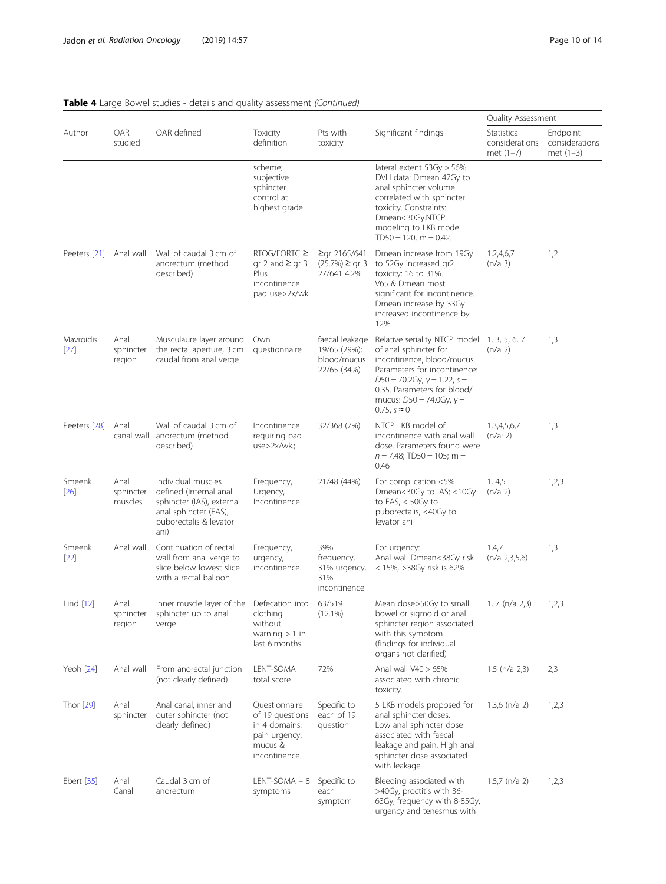### Table 4 Large Bowel studies - details and quality assessment (Continued)

|                        |                              |                                                                                                                                      |                                                                                                |                                                              |                                                                                                                                                                                                                                                  | Quality Assessment                             |                                          |  |
|------------------------|------------------------------|--------------------------------------------------------------------------------------------------------------------------------------|------------------------------------------------------------------------------------------------|--------------------------------------------------------------|--------------------------------------------------------------------------------------------------------------------------------------------------------------------------------------------------------------------------------------------------|------------------------------------------------|------------------------------------------|--|
| Author                 | OAR<br>studied               | OAR defined                                                                                                                          | Toxicity<br>definition                                                                         | Pts with<br>toxicity                                         | Significant findings                                                                                                                                                                                                                             | Statistical<br>considerations<br>met $(1 - 7)$ | Endpoint<br>considerations<br>$met(1-3)$ |  |
|                        |                              |                                                                                                                                      | scheme;<br>subjective<br>sphincter<br>control at<br>highest grade                              |                                                              | lateral extent 53Gy > 56%.<br>DVH data: Dmean 47Gy to<br>anal sphincter volume<br>correlated with sphincter<br>toxicity. Constraints:<br>Dmean<30Gy.NTCP<br>modeling to LKB model<br>$TD50 = 120$ , m = 0.42.                                    |                                                |                                          |  |
| Peeters [21] Anal wall |                              | Wall of caudal 3 cm of<br>anorectum (method<br>described)                                                                            | $RTOG/EORTC \geq$<br>gr 2 and $\geq$ gr 3<br>Plus<br>incontinence<br>pad use>2x/wk.            | ≥gr 2165/641<br>$(25.7%) \ge qr 3$<br>27/641 4.2%            | Dmean increase from 19Gy<br>to 52Gy increased gr2<br>toxicity: 16 to 31%.<br>V65 & Dmean most<br>significant for incontinence.<br>Dmean increase by 33Gy<br>increased incontinence by<br>12%                                                     | 1,2,4,6,7<br>(n/a 3)                           | 1,2                                      |  |
| Mavroidis<br>$[27]$    | Anal<br>sphincter<br>region  | Musculaure layer around<br>the rectal aperture, 3 cm<br>caudal from anal verge                                                       | Own<br>questionnaire                                                                           | faecal leakage<br>19/65 (29%);<br>blood/mucus<br>22/65 (34%) | Relative seriality NTCP model<br>of anal sphincter for<br>incontinence, blood/mucus.<br>Parameters for incontinence:<br>$D50 = 70.2$ Gy, $y = 1.22$ , s =<br>0.35. Parameters for blood/<br>mucus: $D50 = 74.0$ Gy, $y =$<br>0.75, $s \approx 0$ | 1, 3, 5, 6, 7<br>(n/a 2)                       | 1,3                                      |  |
| Peeters [28]           | Anal<br>canal wall           | Wall of caudal 3 cm of<br>anorectum (method<br>described)                                                                            | Incontinence<br>requiring pad<br>use>2x/wk.;                                                   | 32/368 (7%)                                                  | NTCP LKB model of<br>incontinence with anal wall<br>dose. Parameters found were<br>$n = 7.48$ ; TD50 = 105; m =<br>0.46                                                                                                                          | 1,3,4,5,6,7<br>(n/a: 2)                        | 1,3                                      |  |
| Smeenk<br>$[26]$       | Anal<br>sphincter<br>muscles | Individual muscles<br>defined (Internal anal<br>sphincter (IAS), external<br>anal sphincter (EAS),<br>puborectalis & levator<br>ani) | Frequency,<br>Urgency,<br>Incontinence                                                         | 21/48 (44%)                                                  | For complication <5%<br>Dmean<30Gy to IAS; <10Gy<br>to EAS, $<$ 50Gy to<br>puborectalis, <40Gy to<br>levator ani                                                                                                                                 | 1, 4,5<br>(n/a 2)                              | 1,2,3                                    |  |
| Smeenk<br>$[22]$       | Anal wall                    | Continuation of rectal<br>wall from anal verge to<br>slice below lowest slice<br>with a rectal balloon                               | Frequency,<br>urgency,<br>incontinence                                                         | 39%<br>frequency,<br>31% urgency,<br>31%<br>incontinence     | For urgency:<br>Anal wall Dmean<38Gy risk<br>$<$ 15%, >38Gy risk is 62%                                                                                                                                                                          | 1,4,7<br>(n/a 2,3,5,6)                         | 1,3                                      |  |
| Lind [12]              | Anal<br>sphincter<br>region  | Inner muscle layer of the Defecation into<br>sphincter up to anal<br>verge                                                           | clothing<br>without<br>warning $> 1$ in<br>last 6 months                                       | 63/519<br>$(12.1\%)$                                         | Mean dose>50Gy to small<br>bowel or sigmoid or anal<br>sphincter region associated<br>with this symptom<br>(findings for individual<br>organs not clarified)                                                                                     | 1, 7 (n/a 2,3)                                 | 1,2,3                                    |  |
| Yeoh [24]              | Anal wall                    | From anorectal junction<br>(not clearly defined)                                                                                     | LENT-SOMA<br>total score                                                                       | 72%                                                          | Anal wall V40 > 65%<br>associated with chronic<br>toxicity.                                                                                                                                                                                      | $1,5$ (n/a 2,3)                                | 2,3                                      |  |
| Thor [29]              | Anal<br>sphincter            | Anal canal, inner and<br>outer sphincter (not<br>clearly defined)                                                                    | Questionnaire<br>of 19 questions<br>in 4 domains:<br>pain urgency,<br>mucus &<br>incontinence. | Specific to<br>each of 19<br>question                        | 5 LKB models proposed for<br>anal sphincter doses.<br>Low anal sphincter dose<br>associated with faecal<br>leakage and pain. High anal<br>sphincter dose associated<br>with leakage.                                                             | $1,3,6$ (n/a 2)                                | 1,2,3                                    |  |
| Ebert [35]             | Anal<br>Canal                | Caudal 3 cm of<br>anorectum                                                                                                          | LENT-SOMA – 8<br>symptoms                                                                      | Specific to<br>each<br>symptom                               | Bleeding associated with<br>>40Gy, proctitis with 36-<br>63Gy, frequency with 8-85Gy,<br>urgency and tenesmus with                                                                                                                               | $1,5,7$ (n/a 2)                                | 1,2,3                                    |  |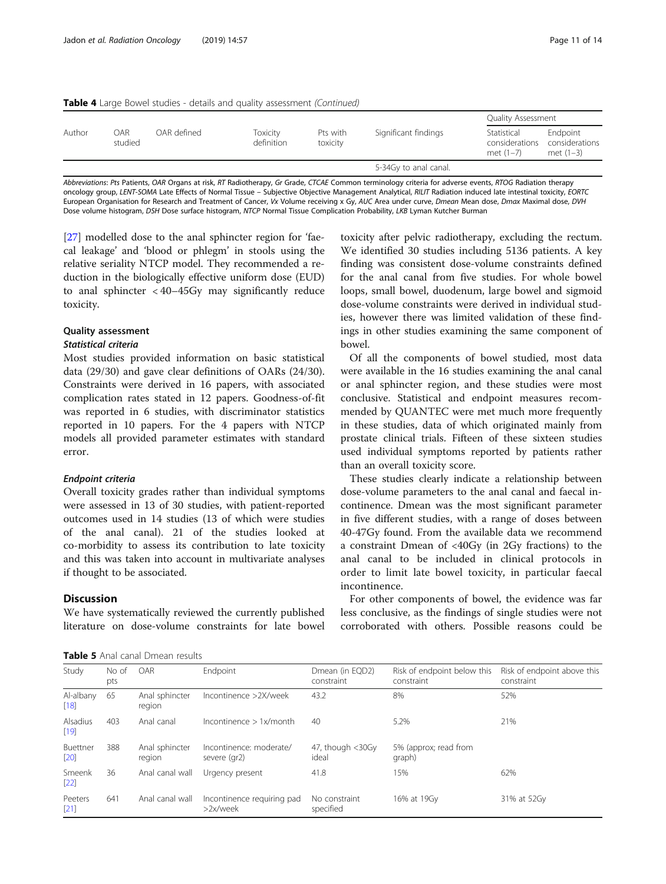<span id="page-10-0"></span>

|  | Table 4 Large Bowel studies - details and quality assessment (Continued) |  |
|--|--------------------------------------------------------------------------|--|

|        |                |             |                        |                      |                       | <b>Quality Assessment</b>                      |                                           |
|--------|----------------|-------------|------------------------|----------------------|-----------------------|------------------------------------------------|-------------------------------------------|
| Author | dar<br>studied | OAR defined | Toxicity<br>definition | Pts with<br>toxicity | Significant findings  | Statistical<br>considerations<br>met $(1 - 7)$ | Endpoint<br>considerations<br>met $(1-3)$ |
|        |                |             |                        |                      | 5-34Gy to anal canal. |                                                |                                           |

Abbreviations: Pts Patients, OAR Organs at risk, RT Radiotherapy, Gr Grade, CTCAE Common terminology criteria for adverse events, RTOG Radiation therapy oncology group, LENT-SOMA Late Effects of Normal Tissue – Subjective Objective Management Analytical, RILIT Radiation induced late intestinal toxicity, EORTC European Organisation for Research and Treatment of Cancer, Vx Volume receiving x Gy, AUC Area under curve, Dmean Mean dose, Dmax Maximal dose, DVH Dose volume histogram, DSH Dose surface histogram, NTCP Normal Tissue Complication Probability, LKB Lyman Kutcher Burman

[[27\]](#page-13-0) modelled dose to the anal sphincter region for 'faecal leakage' and 'blood or phlegm' in stools using the relative seriality NTCP model. They recommended a reduction in the biologically effective uniform dose (EUD) to anal sphincter < 40–45Gy may significantly reduce toxicity.

### Quality assessment

### Statistical criteria

Most studies provided information on basic statistical data (29/30) and gave clear definitions of OARs (24/30). Constraints were derived in 16 papers, with associated complication rates stated in 12 papers. Goodness-of-fit was reported in 6 studies, with discriminator statistics reported in 10 papers. For the 4 papers with NTCP models all provided parameter estimates with standard error.

### Endpoint criteria

Overall toxicity grades rather than individual symptoms were assessed in 13 of 30 studies, with patient-reported outcomes used in 14 studies (13 of which were studies of the anal canal). 21 of the studies looked at co-morbidity to assess its contribution to late toxicity and this was taken into account in multivariate analyses if thought to be associated.

### **Discussion**

We have systematically reviewed the currently published literature on dose-volume constraints for late bowel

toxicity after pelvic radiotherapy, excluding the rectum. We identified 30 studies including 5136 patients. A key finding was consistent dose-volume constraints defined for the anal canal from five studies. For whole bowel loops, small bowel, duodenum, large bowel and sigmoid dose-volume constraints were derived in individual studies, however there was limited validation of these findings in other studies examining the same component of bowel.

Of all the components of bowel studied, most data were available in the 16 studies examining the anal canal or anal sphincter region, and these studies were most conclusive. Statistical and endpoint measures recommended by QUANTEC were met much more frequently in these studies, data of which originated mainly from prostate clinical trials. Fifteen of these sixteen studies used individual symptoms reported by patients rather than an overall toxicity score.

These studies clearly indicate a relationship between dose-volume parameters to the anal canal and faecal incontinence. Dmean was the most significant parameter in five different studies, with a range of doses between 40-47Gy found. From the available data we recommend a constraint Dmean of <40Gy (in 2Gy fractions) to the anal canal to be included in clinical protocols in order to limit late bowel toxicity, in particular faecal incontinence.

For other components of bowel, the evidence was far less conclusive, as the findings of single studies were not corroborated with others. Possible reasons could be

Table 5 Anal canal Dmean results

|                           |              | <b>TUDIC J</b> ATTUL CURRENT DITTCUT TO SUITS |                                         |                               |                                           |                                           |
|---------------------------|--------------|-----------------------------------------------|-----------------------------------------|-------------------------------|-------------------------------------------|-------------------------------------------|
| Study                     | No of<br>pts | OAR                                           | Endpoint                                | Dmean (in EQD2)<br>constraint | Risk of endpoint below this<br>constraint | Risk of endpoint above this<br>constraint |
| Al-albany<br>[18]         | 65           | Anal sphincter<br>region                      | Incontinence >2X/week                   | 43.2                          | 8%                                        | 52%                                       |
| <b>Alsadius</b><br>$[19]$ | 403          | Anal canal                                    | Incontinue > 1x/month                   | 40                            | 5.2%                                      | 21%                                       |
| Buettner<br>$[20]$        | 388          | Anal sphincter<br>region                      | Incontinence: moderate/<br>severe (gr2) | 47, though <30Gy<br>ideal     | 5% (approx; read from<br>graph)           |                                           |
| Smeenk<br>$[22]$          | 36           | Anal canal wall                               | Urgency present                         | 41.8                          | 15%                                       | 62%                                       |
| Peeters<br>[21]           | 641          | Anal canal wall                               | Incontinence requiring pad<br>>2x/week  | No constraint<br>specified    | 16% at 19Gy                               | 31% at 52Gy                               |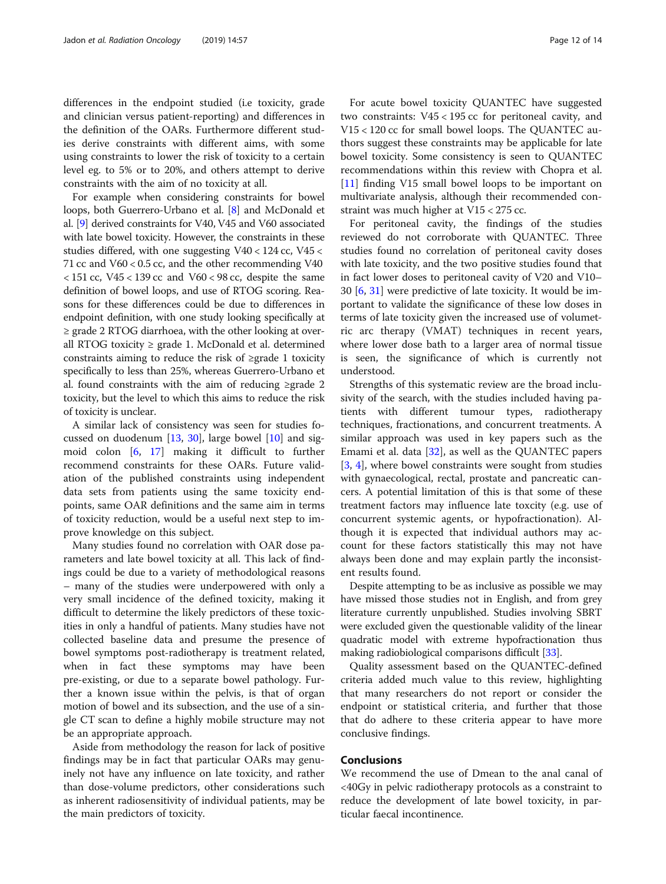differences in the endpoint studied (i.e toxicity, grade and clinician versus patient-reporting) and differences in the definition of the OARs. Furthermore different studies derive constraints with different aims, with some using constraints to lower the risk of toxicity to a certain level eg. to 5% or to 20%, and others attempt to derive constraints with the aim of no toxicity at all.

For example when considering constraints for bowel loops, both Guerrero-Urbano et al. [[8\]](#page-12-0) and McDonald et al. [\[9](#page-12-0)] derived constraints for V40, V45 and V60 associated with late bowel toxicity. However, the constraints in these studies differed, with one suggesting V40 < 124 cc, V45 < 71 cc and V60 < 0.5 cc, and the other recommending V40  $<$  151 cc, V45  $<$  139 cc and V60  $<$  98 cc, despite the same definition of bowel loops, and use of RTOG scoring. Reasons for these differences could be due to differences in endpoint definition, with one study looking specifically at ≥ grade 2 RTOG diarrhoea, with the other looking at overall RTOG toxicity  $\geq$  grade 1. McDonald et al. determined constraints aiming to reduce the risk of ≥grade 1 toxicity specifically to less than 25%, whereas Guerrero-Urbano et al. found constraints with the aim of reducing ≥grade 2 toxicity, but the level to which this aims to reduce the risk of toxicity is unclear.

A similar lack of consistency was seen for studies focussed on duodenum [\[13](#page-12-0), [30\]](#page-13-0), large bowel [[10\]](#page-12-0) and sigmoid colon [\[6](#page-12-0), [17](#page-12-0)] making it difficult to further recommend constraints for these OARs. Future validation of the published constraints using independent data sets from patients using the same toxicity endpoints, same OAR definitions and the same aim in terms of toxicity reduction, would be a useful next step to improve knowledge on this subject.

Many studies found no correlation with OAR dose parameters and late bowel toxicity at all. This lack of findings could be due to a variety of methodological reasons – many of the studies were underpowered with only a very small incidence of the defined toxicity, making it difficult to determine the likely predictors of these toxicities in only a handful of patients. Many studies have not collected baseline data and presume the presence of bowel symptoms post-radiotherapy is treatment related, when in fact these symptoms may have been pre-existing, or due to a separate bowel pathology. Further a known issue within the pelvis, is that of organ motion of bowel and its subsection, and the use of a single CT scan to define a highly mobile structure may not be an appropriate approach.

Aside from methodology the reason for lack of positive findings may be in fact that particular OARs may genuinely not have any influence on late toxicity, and rather than dose-volume predictors, other considerations such as inherent radiosensitivity of individual patients, may be the main predictors of toxicity.

For acute bowel toxicity QUANTEC have suggested two constraints: V45 < 195 cc for peritoneal cavity, and V15 < 120 cc for small bowel loops. The QUANTEC authors suggest these constraints may be applicable for late bowel toxicity. Some consistency is seen to QUANTEC recommendations within this review with Chopra et al. [[11\]](#page-12-0) finding V15 small bowel loops to be important on multivariate analysis, although their recommended constraint was much higher at V15 < 275 cc.

For peritoneal cavity, the findings of the studies reviewed do not corroborate with QUANTEC. Three studies found no correlation of peritoneal cavity doses with late toxicity, and the two positive studies found that in fact lower doses to peritoneal cavity of V20 and V10– 30 [[6](#page-12-0), [31](#page-13-0)] were predictive of late toxicity. It would be important to validate the significance of these low doses in terms of late toxicity given the increased use of volumetric arc therapy (VMAT) techniques in recent years, where lower dose bath to a larger area of normal tissue is seen, the significance of which is currently not understood.

Strengths of this systematic review are the broad inclusivity of the search, with the studies included having patients with different tumour types, radiotherapy techniques, fractionations, and concurrent treatments. A similar approach was used in key papers such as the Emami et al. data [[32](#page-13-0)], as well as the QUANTEC papers [[3,](#page-12-0) [4\]](#page-12-0), where bowel constraints were sought from studies with gynaecological, rectal, prostate and pancreatic cancers. A potential limitation of this is that some of these treatment factors may influence late toxcity (e.g. use of concurrent systemic agents, or hypofractionation). Although it is expected that individual authors may account for these factors statistically this may not have always been done and may explain partly the inconsistent results found.

Despite attempting to be as inclusive as possible we may have missed those studies not in English, and from grey literature currently unpublished. Studies involving SBRT were excluded given the questionable validity of the linear quadratic model with extreme hypofractionation thus making radiobiological comparisons difficult [\[33\]](#page-13-0).

Quality assessment based on the QUANTEC-defined criteria added much value to this review, highlighting that many researchers do not report or consider the endpoint or statistical criteria, and further that those that do adhere to these criteria appear to have more conclusive findings.

### Conclusions

We recommend the use of Dmean to the anal canal of <40Gy in pelvic radiotherapy protocols as a constraint to reduce the development of late bowel toxicity, in particular faecal incontinence.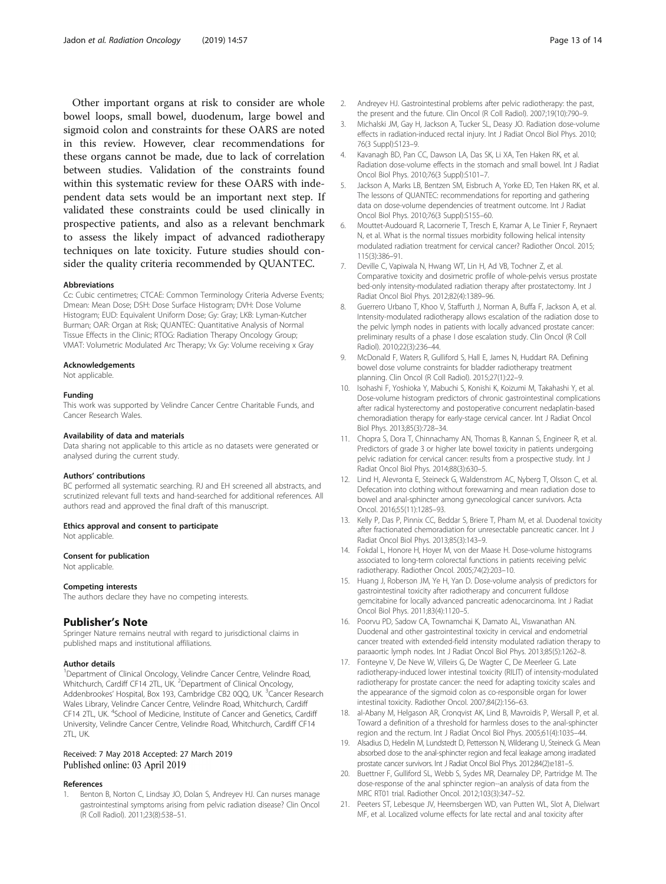<span id="page-12-0"></span>Other important organs at risk to consider are whole bowel loops, small bowel, duodenum, large bowel and sigmoid colon and constraints for these OARS are noted in this review. However, clear recommendations for these organs cannot be made, due to lack of correlation between studies. Validation of the constraints found within this systematic review for these OARS with independent data sets would be an important next step. If validated these constraints could be used clinically in prospective patients, and also as a relevant benchmark to assess the likely impact of advanced radiotherapy techniques on late toxicity. Future studies should consider the quality criteria recommended by QUANTEC.

#### Abbreviations

Cc: Cubic centimetres; CTCAE: Common Terminology Criteria Adverse Events; Dmean: Mean Dose; DSH: Dose Surface Histogram; DVH: Dose Volume Histogram; EUD: Equivalent Uniform Dose; Gy: Gray; LKB: Lyman-Kutcher Burman; OAR: Organ at Risk; QUANTEC: Quantitative Analysis of Normal Tissue Effects in the Clinic; RTOG: Radiation Therapy Oncology Group; VMAT: Volumetric Modulated Arc Therapy; Vx Gy: Volume receiving x Gray

### Acknowledgements

Not applicable.

### Funding

This work was supported by Velindre Cancer Centre Charitable Funds, and Cancer Research Wales.

### Availability of data and materials

Data sharing not applicable to this article as no datasets were generated or analysed during the current study.

#### Authors' contributions

BC performed all systematic searching. RJ and EH screened all abstracts, and scrutinized relevant full texts and hand-searched for additional references. All authors read and approved the final draft of this manuscript.

### Ethics approval and consent to participate

Not applicable.

### Consent for publication

Not applicable.

### Competing interests

The authors declare they have no competing interests.

### Publisher's Note

Springer Nature remains neutral with regard to jurisdictional claims in published maps and institutional affiliations.

### Author details

<sup>1</sup>Department of Clinical Oncology, Velindre Cancer Centre, Velindre Road, Whitchurch, Cardiff CF14 2TL, UK. <sup>2</sup>Department of Clinical Oncology, Addenbrookes' Hospital, Box 193, Cambridge CB2 0QQ, UK. <sup>3</sup>Cancer Research Wales Library, Velindre Cancer Centre, Velindre Road, Whitchurch, Cardiff CF14 2TL, UK. <sup>4</sup>School of Medicine, Institute of Cancer and Genetics, Cardiff University, Velindre Cancer Centre, Velindre Road, Whitchurch, Cardiff CF14 2TL, UK.

### Received: 7 May 2018 Accepted: 27 March 2019 Published online: 03 April 2019

### References

Benton B, Norton C, Lindsay JO, Dolan S, Andreyev HJ. Can nurses manage gastrointestinal symptoms arising from pelvic radiation disease? Clin Oncol (R Coll Radiol). 2011;23(8):538–51.

- 2. Andreyev HJ. Gastrointestinal problems after pelvic radiotherapy: the past, the present and the future. Clin Oncol (R Coll Radiol). 2007;19(10):790–9.
- 3. Michalski JM, Gay H, Jackson A, Tucker SL, Deasy JO. Radiation dose-volume effects in radiation-induced rectal injury. Int J Radiat Oncol Biol Phys. 2010; 76(3 Suppl):S123–9.
- 4. Kavanagh BD, Pan CC, Dawson LA, Das SK, Li XA, Ten Haken RK, et al. Radiation dose-volume effects in the stomach and small bowel. Int J Radiat Oncol Biol Phys. 2010;76(3 Suppl):S101–7.
- 5. Jackson A, Marks LB, Bentzen SM, Eisbruch A, Yorke ED, Ten Haken RK, et al. The lessons of QUANTEC: recommendations for reporting and gathering data on dose-volume dependencies of treatment outcome. Int J Radiat Oncol Biol Phys. 2010;76(3 Suppl):S155–60.
- 6. Mouttet-Audouard R, Lacornerie T, Tresch E, Kramar A, Le Tinier F, Reynaert N, et al. What is the normal tissues morbidity following helical intensity modulated radiation treatment for cervical cancer? Radiother Oncol. 2015; 115(3):386–91.
- 7. Deville C, Vapiwala N, Hwang WT, Lin H, Ad VB, Tochner Z, et al. Comparative toxicity and dosimetric profile of whole-pelvis versus prostate bed-only intensity-modulated radiation therapy after prostatectomy. Int J Radiat Oncol Biol Phys. 2012;82(4):1389–96.
- 8. Guerrero Urbano T, Khoo V, Staffurth J, Norman A, Buffa F, Jackson A, et al. Intensity-modulated radiotherapy allows escalation of the radiation dose to the pelvic lymph nodes in patients with locally advanced prostate cancer: preliminary results of a phase I dose escalation study. Clin Oncol (R Coll Radiol). 2010;22(3):236–44.
- 9. McDonald F, Waters R, Gulliford S, Hall E, James N, Huddart RA. Defining bowel dose volume constraints for bladder radiotherapy treatment planning. Clin Oncol (R Coll Radiol). 2015;27(1):22–9.
- 10. Isohashi F, Yoshioka Y, Mabuchi S, Konishi K, Koizumi M, Takahashi Y, et al. Dose-volume histogram predictors of chronic gastrointestinal complications after radical hysterectomy and postoperative concurrent nedaplatin-based chemoradiation therapy for early-stage cervical cancer. Int J Radiat Oncol Biol Phys. 2013;85(3):728–34.
- 11. Chopra S, Dora T, Chinnachamy AN, Thomas B, Kannan S, Engineer R, et al. Predictors of grade 3 or higher late bowel toxicity in patients undergoing pelvic radiation for cervical cancer: results from a prospective study. Int J Radiat Oncol Biol Phys. 2014;88(3):630–5.
- 12. Lind H, Alevronta E, Steineck G, Waldenstrom AC, Nyberg T, Olsson C, et al. Defecation into clothing without forewarning and mean radiation dose to bowel and anal-sphincter among gynecological cancer survivors. Acta Oncol. 2016;55(11):1285–93.
- 13. Kelly P, Das P, Pinnix CC, Beddar S, Briere T, Pham M, et al. Duodenal toxicity after fractionated chemoradiation for unresectable pancreatic cancer. Int J Radiat Oncol Biol Phys. 2013;85(3):143–9.
- 14. Fokdal L, Honore H, Hoyer M, von der Maase H. Dose-volume histograms associated to long-term colorectal functions in patients receiving pelvic radiotherapy. Radiother Oncol. 2005;74(2):203–10.
- 15. Huang J, Roberson JM, Ye H, Yan D. Dose-volume analysis of predictors for gastrointestinal toxicity after radiotherapy and concurrent fulldose gemcitabine for locally advanced pancreatic adenocarcinoma. Int J Radiat Oncol Biol Phys. 2011;83(4):1120–5.
- 16. Poorvu PD, Sadow CA, Townamchai K, Damato AL, Viswanathan AN. Duodenal and other gastrointestinal toxicity in cervical and endometrial cancer treated with extended-field intensity modulated radiation therapy to paraaortic lymph nodes. Int J Radiat Oncol Biol Phys. 2013;85(5):1262–8.
- 17. Fonteyne V, De Neve W, Villeirs G, De Wagter C, De Meerleer G. Late radiotherapy-induced lower intestinal toxicity (RILIT) of intensity-modulated radiotherapy for prostate cancer: the need for adapting toxicity scales and the appearance of the sigmoid colon as co-responsible organ for lower intestinal toxicity. Radiother Oncol. 2007;84(2):156–63.
- 18. al-Abany M, Helgason AR, Cronqvist AK, Lind B, Mavroidis P, Wersall P, et al. Toward a definition of a threshold for harmless doses to the anal-sphincter region and the rectum. Int J Radiat Oncol Biol Phys. 2005;61(4):1035–44.
- 19. Alsadius D, Hedelin M, Lundstedt D, Pettersson N, Wilderang U, Steineck G. Mean absorbed dose to the anal-sphincter region and fecal leakage among irradiated prostate cancer survivors. Int J Radiat Oncol Biol Phys. 2012;84(2):e181–5.
- 20. Buettner F, Gulliford SL, Webb S, Sydes MR, Dearnaley DP, Partridge M. The dose-response of the anal sphincter region--an analysis of data from the MRC RT01 trial. Radiother Oncol. 2012;103(3):347–52.
- 21. Peeters ST, Lebesque JV, Heemsbergen WD, van Putten WL, Slot A, Dielwart MF, et al. Localized volume effects for late rectal and anal toxicity after